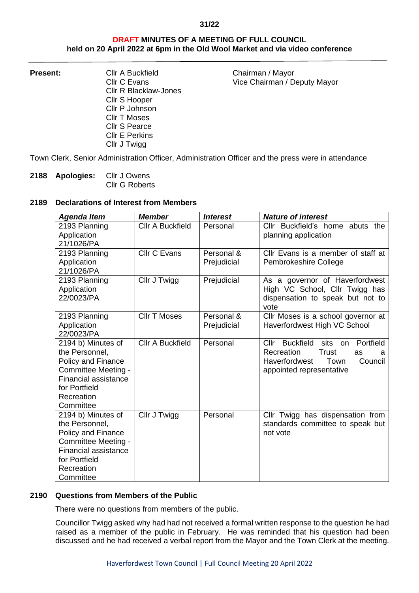#### **31/22**

# **DRAFT MINUTES OF A MEETING OF FULL COUNCIL held on 20 April 2022 at 6pm in the Old Wool Market and via video conference**

Cllr R Blacklaw-Jones Cllr S Hooper Cllr P Johnson Cllr T Moses Cllr S Pearce Cllr E Perkins Cllr J Twigg

**Present:** Cllr A Buckfield Chairman / Mayor<br>Cllr C Evans Clear Chairman / D Vice Chairman / Deputy Mayor

Town Clerk, Senior Administration Officer, Administration Officer and the press were in attendance

**2188 Apologies:** Cllr J Owens Cllr G Roberts

# **2189 Declarations of Interest from Members**

| <b>Agenda Item</b>                        | <b>Member</b>           | <b>Interest</b> | <b>Nature of interest</b>                               |
|-------------------------------------------|-------------------------|-----------------|---------------------------------------------------------|
| 2193 Planning<br>Application              | <b>CIIr A Buckfield</b> | Personal        | Cllr Buckfield's home abuts the<br>planning application |
| 21/1026/PA                                |                         |                 |                                                         |
| 2193 Planning                             | <b>Cllr C Evans</b>     | Personal &      | Cllr Evans is a member of staff at                      |
| Application                               |                         | Prejudicial     | Pembrokeshire College                                   |
| 21/1026/PA                                |                         |                 |                                                         |
| 2193 Planning                             | Cllr J Twigg            | Prejudicial     | As a governor of Haverfordwest                          |
| Application                               |                         |                 | High VC School, Cllr Twigg has                          |
| 22/0023/PA                                |                         |                 | dispensation to speak but not to<br>vote                |
| 2193 Planning                             | <b>Cllr T Moses</b>     | Personal &      | Cllr Moses is a school governor at                      |
| Application                               |                         | Prejudicial     | Haverfordwest High VC School                            |
| 22/0023/PA                                |                         |                 |                                                         |
| 2194 b) Minutes of                        | <b>Cllr A Buckfield</b> | Personal        | Cllr<br><b>Buckfield</b><br>Portfield<br>sits<br>on     |
| the Personnel.                            |                         |                 | Recreation<br><b>Trust</b><br>as<br>a                   |
| Policy and Finance<br>Committee Meeting - |                         |                 | <b>Haverfordwest</b><br>Town<br>Council                 |
| <b>Financial assistance</b>               |                         |                 | appointed representative                                |
| for Portfield                             |                         |                 |                                                         |
| Recreation                                |                         |                 |                                                         |
| Committee                                 |                         |                 |                                                         |
| 2194 b) Minutes of                        | Cllr J Twigg            | Personal        | Cllr Twigg has dispensation from                        |
| the Personnel,                            |                         |                 | standards committee to speak but                        |
| Policy and Finance                        |                         |                 | not vote                                                |
| Committee Meeting -                       |                         |                 |                                                         |
| <b>Financial assistance</b>               |                         |                 |                                                         |
| for Portfield                             |                         |                 |                                                         |
| Recreation                                |                         |                 |                                                         |
| Committee                                 |                         |                 |                                                         |

# **2190 Questions from Members of the Public**

There were no questions from members of the public.

Councillor Twigg asked why had had not received a formal written response to the question he had raised as a member of the public in February. He was reminded that his question had been discussed and he had received a verbal report from the Mayor and the Town Clerk at the meeting.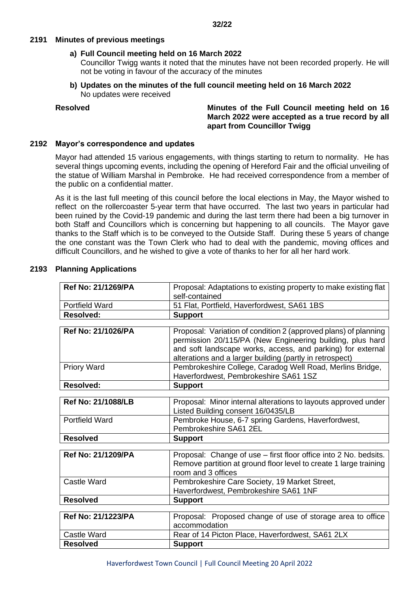### **2191 Minutes of previous meetings**

# **a) Full Council meeting held on 16 March 2022**

Councillor Twigg wants it noted that the minutes have not been recorded properly. He will not be voting in favour of the accuracy of the minutes

**b) Updates on the minutes of the full council meeting held on 16 March 2022** No updates were received

## **Resolved Minutes of the Full Council meeting held on 16 March 2022 were accepted as a true record by all apart from Councillor Twigg**

# **2192 Mayor's correspondence and updates**

Mayor had attended 15 various engagements, with things starting to return to normality. He has several things upcoming events, including the opening of Hereford Fair and the official unveiling of the statue of William Marshal in Pembroke. He had received correspondence from a member of the public on a confidential matter.

As it is the last full meeting of this council before the local elections in May, the Mayor wished to reflect on the rollercoaster 5-year term that have occurred. The last two years in particular had been ruined by the Covid-19 pandemic and during the last term there had been a big turnover in both Staff and Councillors which is concerning but happening to all councils. The Mayor gave thanks to the Staff which is to be conveyed to the Outside Staff. During these 5 years of change the one constant was the Town Clerk who had to deal with the pandemic, moving offices and difficult Councillors, and he wished to give a vote of thanks to her for all her hard work.

| Ref No: 21/1269/PA        | Proposal: Adaptations to existing property to make existing flat                                                             |
|---------------------------|------------------------------------------------------------------------------------------------------------------------------|
|                           | self-contained                                                                                                               |
| <b>Portfield Ward</b>     | 51 Flat, Portfield, Haverfordwest, SA61 1BS                                                                                  |
| <b>Resolved:</b>          | <b>Support</b>                                                                                                               |
|                           |                                                                                                                              |
| Ref No: 21/1026/PA        | Proposal: Variation of condition 2 (approved plans) of planning<br>permission 20/115/PA (New Engineering building, plus hard |
|                           | and soft landscape works, access, and parking) for external<br>alterations and a larger building (partly in retrospect)      |
| <b>Priory Ward</b>        | Pembrokeshire College, Caradog Well Road, Merlins Bridge,<br>Haverfordwest, Pembrokeshire SA61 1SZ                           |
| <b>Resolved:</b>          | <b>Support</b>                                                                                                               |
|                           |                                                                                                                              |
| <b>Ref No: 21/1088/LB</b> | Proposal: Minor internal alterations to layouts approved under<br>Listed Building consent 16/0435/LB                         |
| <b>Portfield Ward</b>     | Pembroke House, 6-7 spring Gardens, Haverfordwest,                                                                           |
|                           | Pembrokeshire SA61 2EL                                                                                                       |
| <b>Resolved</b>           | <b>Support</b>                                                                                                               |
|                           |                                                                                                                              |
| <b>Ref No: 21/1209/PA</b> | Proposal: Change of use - first floor office into 2 No. bedsits.                                                             |
|                           | Remove partition at ground floor level to create 1 large training<br>room and 3 offices                                      |
| <b>Castle Ward</b>        | Pembrokeshire Care Society, 19 Market Street,                                                                                |
|                           | Haverfordwest, Pembrokeshire SA61 1NF                                                                                        |
| <b>Resolved</b>           | <b>Support</b>                                                                                                               |
|                           |                                                                                                                              |
| Ref No: 21/1223/PA        | Proposal: Proposed change of use of storage area to office                                                                   |
|                           | accommodation                                                                                                                |
| Castle Ward               | Rear of 14 Picton Place, Haverfordwest, SA61 2LX                                                                             |
| <b>Resolved</b>           | <b>Support</b>                                                                                                               |

### **2193 Planning Applications**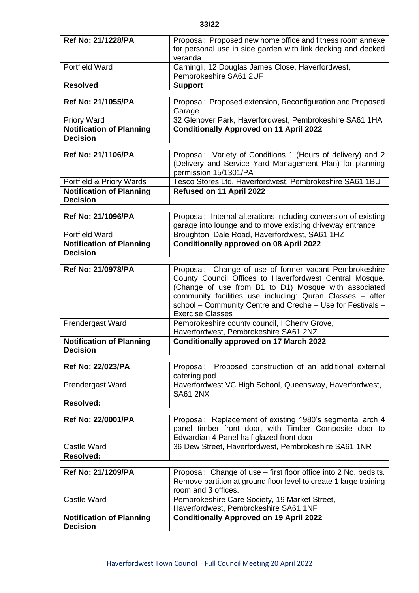| Ref No: 21/1228/PA                                 | Proposal: Proposed new home office and fitness room annexe                                                          |
|----------------------------------------------------|---------------------------------------------------------------------------------------------------------------------|
|                                                    | for personal use in side garden with link decking and decked<br>veranda                                             |
| <b>Portfield Ward</b>                              | Carningli, 12 Douglas James Close, Haverfordwest,<br>Pembrokeshire SA61 2UF                                         |
| <b>Resolved</b>                                    | <b>Support</b>                                                                                                      |
|                                                    |                                                                                                                     |
| Ref No: 21/1055/PA                                 | Proposal: Proposed extension, Reconfiguration and Proposed<br>Garage                                                |
| Priory Ward                                        | 32 Glenover Park, Haverfordwest, Pembrokeshire SA61 1HA                                                             |
| <b>Notification of Planning</b><br><b>Decision</b> | <b>Conditionally Approved on 11 April 2022</b>                                                                      |
| Ref No: 21/1106/PA                                 | Proposal: Variety of Conditions 1 (Hours of delivery) and 2                                                         |
|                                                    | (Delivery and Service Yard Management Plan) for planning                                                            |
|                                                    | permission 15/1301/PA                                                                                               |
| Portfield & Priory Wards                           | Tesco Stores Ltd, Haverfordwest, Pembrokeshire SA61 1BU                                                             |
| <b>Notification of Planning</b>                    | Refused on 11 April 2022                                                                                            |
| <b>Decision</b>                                    |                                                                                                                     |
| Ref No: 21/1096/PA                                 | Proposal: Internal alterations including conversion of existing                                                     |
|                                                    | garage into lounge and to move existing driveway entrance                                                           |
| <b>Portfield Ward</b>                              | Broughton, Dale Road, Haverfordwest, SA61 1HZ                                                                       |
| <b>Notification of Planning</b>                    | <b>Conditionally approved on 08 April 2022</b>                                                                      |
| <b>Decision</b>                                    |                                                                                                                     |
|                                                    |                                                                                                                     |
| Ref No: 21/0978/PA                                 | Proposal: Change of use of former vacant Pembrokeshire                                                              |
|                                                    | County Council Offices to Haverfordwest Central Mosque.<br>(Change of use from B1 to D1) Mosque with associated     |
|                                                    | community facilities use including: Quran Classes - after                                                           |
|                                                    |                                                                                                                     |
|                                                    |                                                                                                                     |
|                                                    | school - Community Centre and Creche - Use for Festivals -<br><b>Exercise Classes</b>                               |
| Prendergast Ward                                   | Pembrokeshire county council, I Cherry Grove,                                                                       |
|                                                    | Haverfordwest, Pembrokeshire SA61 2NZ                                                                               |
| <b>Notification of Planning</b>                    | <b>Conditionally approved on 17 March 2022</b>                                                                      |
| <b>Decision</b>                                    |                                                                                                                     |
| Ref No: 22/023/PA                                  |                                                                                                                     |
|                                                    | Proposed construction of an additional external<br>Proposal:<br>catering pod                                        |
| Prendergast Ward                                   | Haverfordwest VC High School, Queensway, Haverfordwest,                                                             |
|                                                    | <b>SA61 2NX</b>                                                                                                     |
| <b>Resolved:</b>                                   |                                                                                                                     |
| Ref No: 22/0001/PA                                 |                                                                                                                     |
|                                                    | Proposal: Replacement of existing 1980's segmental arch 4<br>panel timber front door, with Timber Composite door to |
|                                                    | Edwardian 4 Panel half glazed front door                                                                            |
| <b>Castle Ward</b>                                 | 36 Dew Street, Haverfordwest, Pembrokeshire SA61 1NR                                                                |
| <b>Resolved:</b>                                   |                                                                                                                     |
|                                                    |                                                                                                                     |
| Ref No: 21/1209/PA                                 | Proposal: Change of use - first floor office into 2 No. bedsits.                                                    |
|                                                    | Remove partition at ground floor level to create 1 large training<br>room and 3 offices.                            |
| <b>Castle Ward</b>                                 | Pembrokeshire Care Society, 19 Market Street,                                                                       |
|                                                    | Haverfordwest, Pembrokeshire SA61 1NF                                                                               |
| <b>Notification of Planning</b><br><b>Decision</b> | <b>Conditionally Approved on 19 April 2022</b>                                                                      |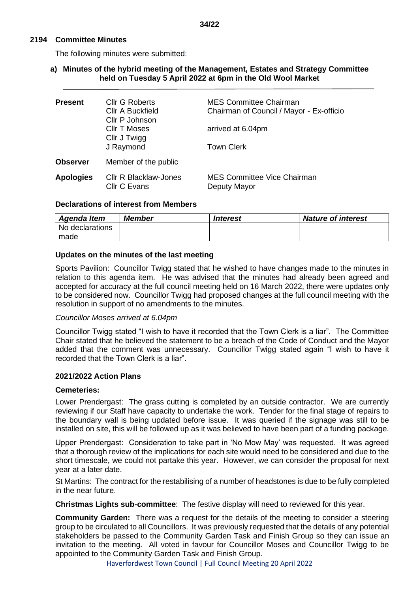### **2194 Committee Minutes**

The following minutes were submitted:

# **a) Minutes of the hybrid meeting of the Management, Estates and Strategy Committee held on Tuesday 5 April 2022 at 6pm in the Old Wool Market**

| <b>Present</b>   | <b>Cllr G Roberts</b><br><b>Cllr A Buckfield</b><br>Cllr P Johnson<br><b>CIIr T Moses</b><br>Cllr J Twigg<br>J Raymond | <b>MES Committee Chairman</b><br>Chairman of Council / Mayor - Ex-officio<br>arrived at 6.04pm<br><b>Town Clerk</b> |
|------------------|------------------------------------------------------------------------------------------------------------------------|---------------------------------------------------------------------------------------------------------------------|
| <b>Observer</b>  | Member of the public                                                                                                   |                                                                                                                     |
| <b>Apologies</b> | <b>CIIr R Blacklaw-Jones</b><br>Cllr C Evans                                                                           | MES Committee Vice Chairman<br>Deputy Mayor                                                                         |

### **Declarations of interest from Members**

| Agenda Item     | Member | <i><b>Interest</b></i> | <b>Nature of interest</b> |
|-----------------|--------|------------------------|---------------------------|
| No declarations |        |                        |                           |
| made            |        |                        |                           |

### **Updates on the minutes of the last meeting**

Sports Pavilion: Councillor Twigg stated that he wished to have changes made to the minutes in relation to this agenda item. He was advised that the minutes had already been agreed and accepted for accuracy at the full council meeting held on 16 March 2022, there were updates only to be considered now. Councillor Twigg had proposed changes at the full council meeting with the resolution in support of no amendments to the minutes.

#### *Councillor Moses arrived at 6.04pm*

Councillor Twigg stated "I wish to have it recorded that the Town Clerk is a liar". The Committee Chair stated that he believed the statement to be a breach of the Code of Conduct and the Mayor added that the comment was unnecessary. Councillor Twigg stated again "I wish to have it recorded that the Town Clerk is a liar".

#### **2021/2022 Action Plans**

#### **Cemeteries:**

Lower Prendergast: The grass cutting is completed by an outside contractor. We are currently reviewing if our Staff have capacity to undertake the work. Tender for the final stage of repairs to the boundary wall is being updated before issue. It was queried if the signage was still to be installed on site, this will be followed up as it was believed to have been part of a funding package.

Upper Prendergast: Consideration to take part in 'No Mow May' was requested. It was agreed that a thorough review of the implications for each site would need to be considered and due to the short timescale, we could not partake this year. However, we can consider the proposal for next year at a later date.

St Martins: The contract for the restabilising of a number of headstones is due to be fully completed in the near future.

**Christmas Lights sub-committee**: The festive display will need to reviewed for this year.

**Community Garden:** There was a request for the details of the meeting to consider a steering group to be circulated to all Councillors. It was previously requested that the details of any potential stakeholders be passed to the Community Garden Task and Finish Group so they can issue an invitation to the meeting. All voted in favour for Councillor Moses and Councillor Twigg to be appointed to the Community Garden Task and Finish Group.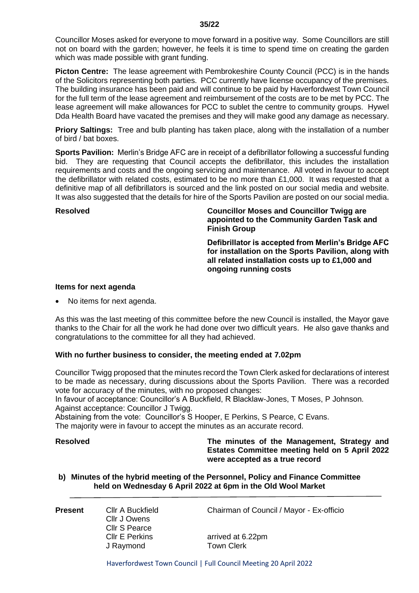Councillor Moses asked for everyone to move forward in a positive way. Some Councillors are still not on board with the garden; however, he feels it is time to spend time on creating the garden which was made possible with grant funding.

**Picton Centre:** The lease agreement with Pembrokeshire County Council (PCC) is in the hands of the Solicitors representing both parties. PCC currently have license occupancy of the premises. The building insurance has been paid and will continue to be paid by Haverfordwest Town Council for the full term of the lease agreement and reimbursement of the costs are to be met by PCC. The lease agreement will make allowances for PCC to sublet the centre to community groups. Hywel Dda Health Board have vacated the premises and they will make good any damage as necessary.

**Priory Saltings:** Tree and bulb planting has taken place, along with the installation of a number of bird / bat boxes.

**Sports Pavilion:** Merlin's Bridge AFC are in receipt of a defibrillator following a successful funding bid. They are requesting that Council accepts the defibrillator, this includes the installation requirements and costs and the ongoing servicing and maintenance. All voted in favour to accept the defibrillator with related costs, estimated to be no more than £1,000. It was requested that a definitive map of all defibrillators is sourced and the link posted on our social media and website. It was also suggested that the details for hire of the Sports Pavilion are posted on our social media.

**Resolved Councillor Moses and Councillor Twigg are appointed to the Community Garden Task and Finish Group**

> **Defibrillator is accepted from Merlin's Bridge AFC for installation on the Sports Pavilion, along with all related installation costs up to £1,000 and ongoing running costs**

#### **Items for next agenda**

No items for next agenda.

As this was the last meeting of this committee before the new Council is installed, the Mayor gave thanks to the Chair for all the work he had done over two difficult years. He also gave thanks and congratulations to the committee for all they had achieved.

#### **With no further business to consider, the meeting ended at 7.02pm**

Councillor Twigg proposed that the minutes record the Town Clerk asked for declarations of interest to be made as necessary, during discussions about the Sports Pavilion. There was a recorded vote for accuracy of the minutes, with no proposed changes:

In favour of acceptance: Councillor's A Buckfield, R Blacklaw-Jones, T Moses, P Johnson. Against acceptance: Councillor J Twigg.

Abstaining from the vote: Councillor's S Hooper, E Perkins, S Pearce, C Evans.

The majority were in favour to accept the minutes as an accurate record.

**Resolved The minutes of the Management, Strategy and Estates Committee meeting held on 5 April 2022 were accepted as a true record**

## **b) Minutes of the hybrid meeting of the Personnel, Policy and Finance Committee held on Wednesday 6 April 2022 at 6pm in the Old Wool Market**

Cllr J Owens Cllr S Pearce

**Present** Cllr A Buckfield Chairman of Council / Mayor - Ex-officio

Cllr E Perkins arrived at 6.22pm J Raymond Town Clerk

Haverfordwest Town Council | Full Council Meeting 20 April 2022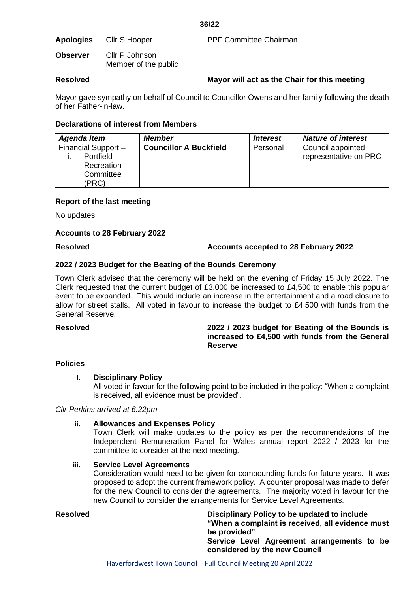**Apologies** Cllr S Hooper PPF Committee Chairman

**Observer** Cllr P Johnson Member of the public

**Resolved Mayor will act as the Chair for this meeting**

Mayor gave sympathy on behalf of Council to Councillor Owens and her family following the death of her Father-in-law.

# **Declarations of interest from Members**

| <b>Agenda Item</b>                                                   | <b>Member</b>                 | <i><u><b>Interest</b></u></i> | <b>Nature of interest</b>                  |
|----------------------------------------------------------------------|-------------------------------|-------------------------------|--------------------------------------------|
| Financial Support -<br>Portfield<br>Recreation<br>Committee<br>(PRC) | <b>Councillor A Buckfield</b> | Personal                      | Council appointed<br>representative on PRC |

# **Report of the last meeting**

No updates.

# **Accounts to 28 February 2022**

# **Resolved Accounts accepted to 28 February 2022**

# **2022 / 2023 Budget for the Beating of the Bounds Ceremony**

Town Clerk advised that the ceremony will be held on the evening of Friday 15 July 2022. The Clerk requested that the current budget of £3,000 be increased to £4,500 to enable this popular event to be expanded. This would include an increase in the entertainment and a road closure to allow for street stalls. All voted in favour to increase the budget to £4,500 with funds from the General Reserve.

## **Resolved 2022 / 2023 budget for Beating of the Bounds is increased to £4,500 with funds from the General Reserve**

# **Policies**

# **i. Disciplinary Policy**

All voted in favour for the following point to be included in the policy: "When a complaint is received, all evidence must be provided".

# *Cllr Perkins arrived at 6.22pm*

# **ii. Allowances and Expenses Policy**

Town Clerk will make updates to the policy as per the recommendations of the Independent Remuneration Panel for Wales annual report 2022 / 2023 for the committee to consider at the next meeting.

# **iii. Service Level Agreements**

Consideration would need to be given for compounding funds for future years. It was proposed to adopt the current framework policy. A counter proposal was made to defer for the new Council to consider the agreements. The majority voted in favour for the new Council to consider the arrangements for Service Level Agreements.

**Resolved Disciplinary Policy to be updated to include "When a complaint is received, all evidence must be provided" Service Level Agreement arrangements to be considered by the new Council**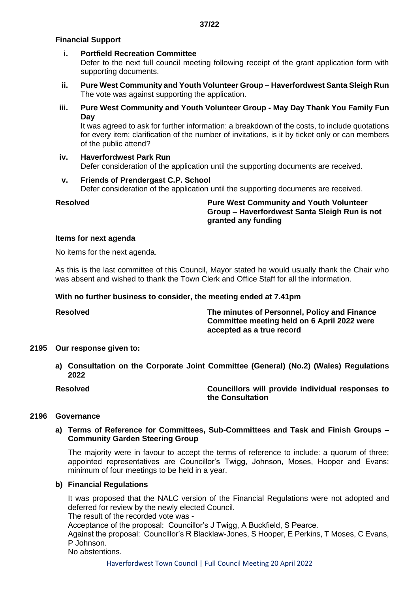# **Financial Support**

# **i. Portfield Recreation Committee**

Defer to the next full council meeting following receipt of the grant application form with supporting documents.

- **ii. Pure West Community and Youth Volunteer Group – Haverfordwest Santa Sleigh Run** The vote was against supporting the application.
- **iii. Pure West Community and Youth Volunteer Group - May Day Thank You Family Fun Day**

It was agreed to ask for further information: a breakdown of the costs, to include quotations for every item; clarification of the number of invitations, is it by ticket only or can members of the public attend?

**iv. Haverfordwest Park Run** Defer consideration of the application until the supporting documents are received.

# **v. Friends of Prendergast C.P. School**

Defer consideration of the application until the supporting documents are received.

**Resolved Pure West Community and Youth Volunteer Group – Haverfordwest Santa Sleigh Run is not granted any funding**

### **Items for next agenda**

No items for the next agenda.

As this is the last committee of this Council, Mayor stated he would usually thank the Chair who was absent and wished to thank the Town Clerk and Office Staff for all the information.

# **With no further business to consider, the meeting ended at 7.41pm**

**Resolved The minutes of Personnel, Policy and Finance Committee meeting held on 6 April 2022 were accepted as a true record**

# **2195 Our response given to:**

**a) Consultation on the Corporate Joint Committee (General) (No.2) (Wales) Regulations 2022**

**Resolved Councillors will provide individual responses to the Consultation**

# **2196 Governance**

# **a) Terms of Reference for Committees, Sub-Committees and Task and Finish Groups – Community Garden Steering Group**

The majority were in favour to accept the terms of reference to include: a quorum of three; appointed representatives are Councillor's Twigg, Johnson, Moses, Hooper and Evans; minimum of four meetings to be held in a year.

# **b) Financial Regulations**

It was proposed that the NALC version of the Financial Regulations were not adopted and deferred for review by the newly elected Council.

The result of the recorded vote was -

Acceptance of the proposal: Councillor's J Twigg, A Buckfield, S Pearce.

Against the proposal: Councillor's R Blacklaw-Jones, S Hooper, E Perkins, T Moses, C Evans, P Johnson.

No abstentions.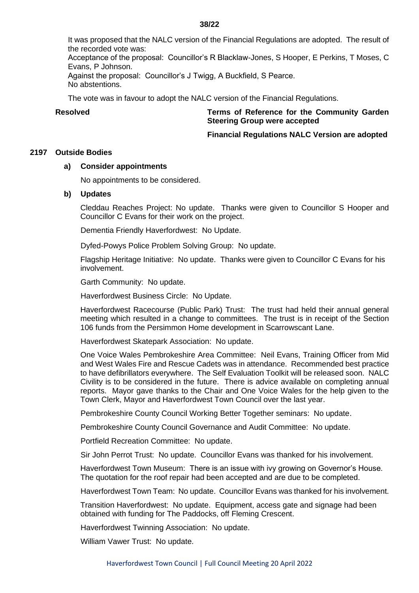#### **38/22**

It was proposed that the NALC version of the Financial Regulations are adopted. The result of the recorded vote was:

Acceptance of the proposal: Councillor's R Blacklaw-Jones, S Hooper, E Perkins, T Moses, C Evans, P Johnson.

Against the proposal: Councillor's J Twigg, A Buckfield, S Pearce. No abstentions.

The vote was in favour to adopt the NALC version of the Financial Regulations.

**Resolved Terms of Reference for the Community Garden Steering Group were accepted**

# **Financial Regulations NALC Version are adopted**

#### **2197 Outside Bodies**

### **a) Consider appointments**

No appointments to be considered.

#### **b) Updates**

Cleddau Reaches Project: No update. Thanks were given to Councillor S Hooper and Councillor C Evans for their work on the project.

Dementia Friendly Haverfordwest: No Update.

Dyfed-Powys Police Problem Solving Group: No update.

Flagship Heritage Initiative: No update. Thanks were given to Councillor C Evans for his involvement.

Garth Community: No update.

Haverfordwest Business Circle: No Update.

Haverfordwest Racecourse (Public Park) Trust: The trust had held their annual general meeting which resulted in a change to committees. The trust is in receipt of the Section 106 funds from the Persimmon Home development in Scarrowscant Lane.

Haverfordwest Skatepark Association: No update.

One Voice Wales Pembrokeshire Area Committee: Neil Evans, Training Officer from Mid and West Wales Fire and Rescue Cadets was in attendance. Recommended best practice to have defibrillators everywhere. The Self Evaluation Toolkit will be released soon. NALC Civility is to be considered in the future. There is advice available on completing annual reports. Mayor gave thanks to the Chair and One Voice Wales for the help given to the Town Clerk, Mayor and Haverfordwest Town Council over the last year.

Pembrokeshire County Council Working Better Together seminars: No update.

Pembrokeshire County Council Governance and Audit Committee: No update.

Portfield Recreation Committee: No update.

Sir John Perrot Trust: No update. Councillor Evans was thanked for his involvement.

Haverfordwest Town Museum: There is an issue with ivy growing on Governor's House. The quotation for the roof repair had been accepted and are due to be completed.

Haverfordwest Town Team: No update. Councillor Evans was thanked for his involvement.

Transition Haverfordwest: No update. Equipment, access gate and signage had been obtained with funding for The Paddocks, off Fleming Crescent.

Haverfordwest Twinning Association: No update.

William Vawer Trust: No update.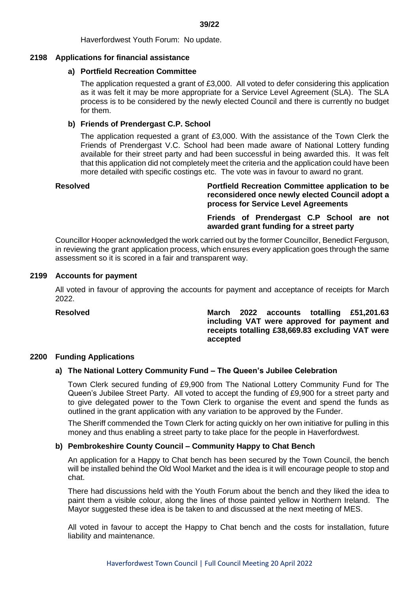#### **39/22**

Haverfordwest Youth Forum: No update.

#### **2198 Applications for financial assistance**

### **a) Portfield Recreation Committee**

The application requested a grant of £3,000. All voted to defer considering this application as it was felt it may be more appropriate for a Service Level Agreement (SLA). The SLA process is to be considered by the newly elected Council and there is currently no budget for them.

### **b) Friends of Prendergast C.P. School**

The application requested a grant of £3,000. With the assistance of the Town Clerk the Friends of Prendergast V.C. School had been made aware of National Lottery funding available for their street party and had been successful in being awarded this. It was felt that this application did not completely meet the criteria and the application could have been more detailed with specific costings etc. The vote was in favour to award no grant.

**Resolved Portfield Recreation Committee application to be reconsidered once newly elected Council adopt a process for Service Level Agreements**

> **Friends of Prendergast C.P School are not awarded grant funding for a street party**

Councillor Hooper acknowledged the work carried out by the former Councillor, Benedict Ferguson, in reviewing the grant application process, which ensures every application goes through the same assessment so it is scored in a fair and transparent way.

### **2199 Accounts for payment**

All voted in favour of approving the accounts for payment and acceptance of receipts for March 2022.

**Resolved March 2022 accounts totalling £51,201.63 including VAT were approved for payment and receipts totalling £38,669.83 excluding VAT were accepted**

#### **2200 Funding Applications**

# **a) The National Lottery Community Fund – The Queen's Jubilee Celebration**

Town Clerk secured funding of £9,900 from The National Lottery Community Fund for The Queen's Jubilee Street Party. All voted to accept the funding of £9,900 for a street party and to give delegated power to the Town Clerk to organise the event and spend the funds as outlined in the grant application with any variation to be approved by the Funder.

The Sheriff commended the Town Clerk for acting quickly on her own initiative for pulling in this money and thus enabling a street party to take place for the people in Haverfordwest.

#### **b) Pembrokeshire County Council – Community Happy to Chat Bench**

An application for a Happy to Chat bench has been secured by the Town Council, the bench will be installed behind the Old Wool Market and the idea is it will encourage people to stop and chat.

There had discussions held with the Youth Forum about the bench and they liked the idea to paint them a visible colour, along the lines of those painted yellow in Northern Ireland. The Mayor suggested these idea is be taken to and discussed at the next meeting of MES.

All voted in favour to accept the Happy to Chat bench and the costs for installation, future liability and maintenance.